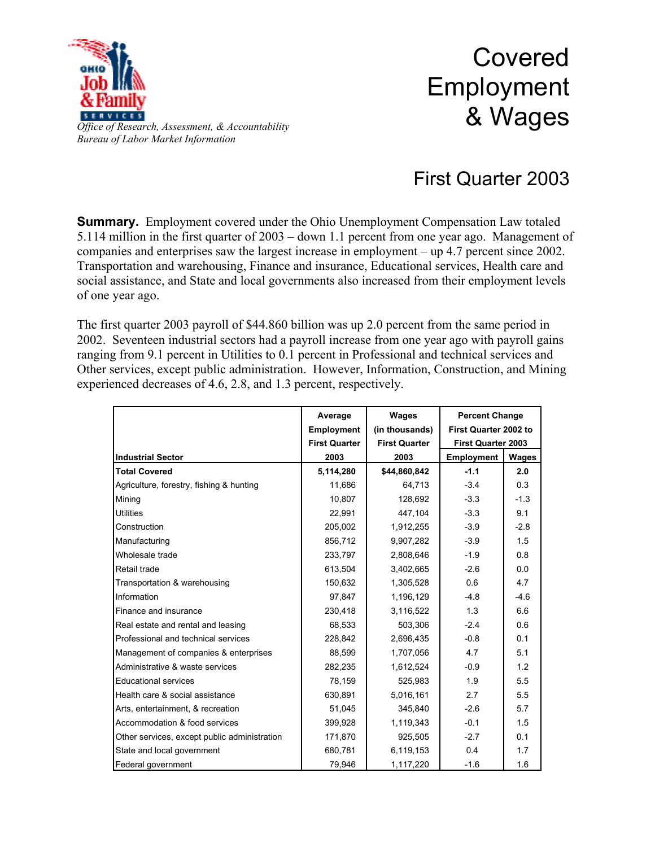

## Covered Employment & Wages

## First Quarter 2003

**Summary.** Employment covered under the Ohio Unemployment Compensation Law totaled 5.114 million in the first quarter of 2003 – down 1.1 percent from one year ago. Management of companies and enterprises saw the largest increase in employment – up 4.7 percent since 2002. Transportation and warehousing, Finance and insurance, Educational services, Health care and social assistance, and State and local governments also increased from their employment levels of one year ago.

The first quarter 2003 payroll of \$44.860 billion was up 2.0 percent from the same period in 2002. Seventeen industrial sectors had a payroll increase from one year ago with payroll gains ranging from 9.1 percent in Utilities to 0.1 percent in Professional and technical services and Other services, except public administration. However, Information, Construction, and Mining experienced decreases of 4.6, 2.8, and 1.3 percent, respectively.

|                                              | Average              | Wages                | <b>Percent Change</b><br>First Quarter 2002 to<br><b>First Quarter 2003</b> |        |
|----------------------------------------------|----------------------|----------------------|-----------------------------------------------------------------------------|--------|
|                                              | <b>Employment</b>    | (in thousands)       |                                                                             |        |
|                                              | <b>First Quarter</b> | <b>First Quarter</b> |                                                                             |        |
| <b>Industrial Sector</b>                     | 2003                 | 2003                 | <b>Employment</b>                                                           | Wages  |
| <b>Total Covered</b>                         | 5,114,280            | \$44,860,842         | $-1.1$                                                                      | 2.0    |
| Agriculture, forestry, fishing & hunting     | 11,686               | 64,713               | $-3.4$                                                                      | 0.3    |
| Mining                                       | 10,807               | 128,692              | $-3.3$                                                                      | $-1.3$ |
| <b>Utilities</b>                             | 22,991               | 447.104              | $-3.3$                                                                      | 9.1    |
| Construction                                 | 205,002              | 1,912,255            | $-3.9$                                                                      | $-2.8$ |
| Manufacturing                                | 856,712              | 9,907,282            | $-3.9$                                                                      | 1.5    |
| Wholesale trade                              | 233,797              | 2,808,646            | $-1.9$                                                                      | 0.8    |
| Retail trade                                 | 613,504              | 3,402,665            | $-2.6$                                                                      | 0.0    |
| Transportation & warehousing                 | 150,632              | 1,305,528            | 0.6                                                                         | 4.7    |
| Information                                  | 97,847               | 1,196,129            | $-4.8$                                                                      | $-4.6$ |
| Finance and insurance                        | 230,418              | 3,116,522            | 1.3                                                                         | 6.6    |
| Real estate and rental and leasing           | 68,533               | 503,306              | $-2.4$                                                                      | 0.6    |
| Professional and technical services          | 228,842              | 2,696,435            | $-0.8$                                                                      | 0.1    |
| Management of companies & enterprises        | 88,599               | 1,707,056            | 4.7                                                                         | 5.1    |
| Administrative & waste services              | 282,235              | 1,612,524            | $-0.9$                                                                      | 1.2    |
| <b>Educational services</b>                  | 78,159               | 525,983              | 1.9                                                                         | 5.5    |
| Health care & social assistance              | 630,891              | 5,016,161            | 2.7                                                                         | 5.5    |
| Arts, entertainment, & recreation            | 51.045               | 345,840              | $-2.6$                                                                      | 5.7    |
| Accommodation & food services                | 399,928              | 1,119,343            | $-0.1$                                                                      | 1.5    |
| Other services, except public administration | 171,870              | 925,505              | $-2.7$                                                                      | 0.1    |
| State and local government                   | 680,781              | 6,119,153            | 0.4                                                                         | 1.7    |
| Federal government                           | 79.946               | 1,117,220            | $-1.6$                                                                      | 1.6    |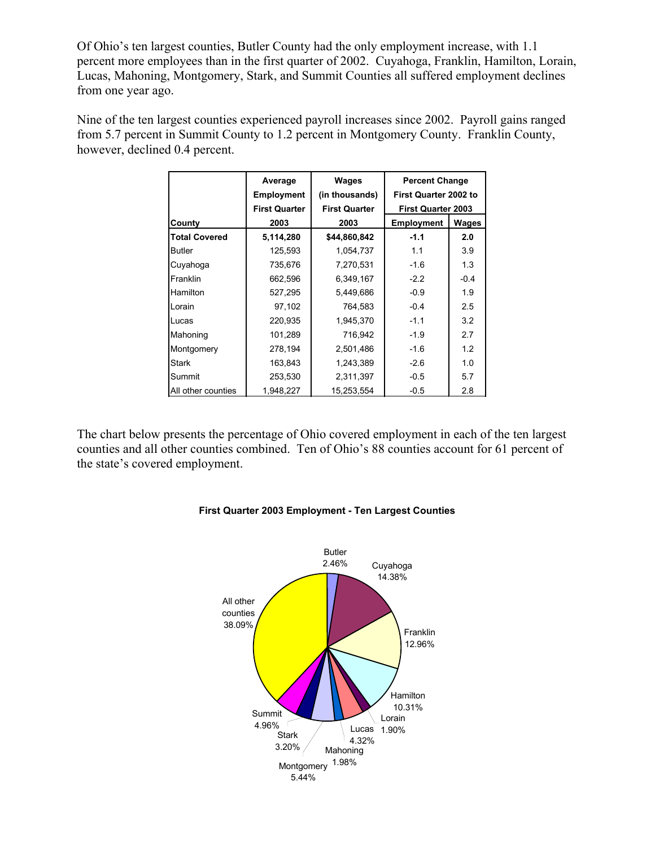Of Ohio's ten largest counties, Butler County had the only employment increase, with 1.1 percent more employees than in the first quarter of 2002. Cuyahoga, Franklin, Hamilton, Lorain, Lucas, Mahoning, Montgomery, Stark, and Summit Counties all suffered employment declines from one year ago.

Nine of the ten largest counties experienced payroll increases since 2002. Payroll gains ranged from 5.7 percent in Summit County to 1.2 percent in Montgomery County. Franklin County, however, declined 0.4 percent.

|                      | Average              | <b>Wages</b>         | <b>Percent Change</b><br>First Quarter 2002 to |              |
|----------------------|----------------------|----------------------|------------------------------------------------|--------------|
|                      | <b>Employment</b>    | (in thousands)       |                                                |              |
|                      | <b>First Quarter</b> | <b>First Quarter</b> | <b>First Quarter 2003</b>                      |              |
| County               | 2003                 | 2003                 | <b>Employment</b>                              | <b>Wages</b> |
| <b>Total Covered</b> | 5,114,280            | \$44,860,842         | $-1.1$                                         | 2.0          |
| <b>Butler</b>        | 125,593              | 1,054,737            | 1.1                                            | 3.9          |
| Cuyahoga             | 735,676              | 7,270,531            | $-1.6$                                         | 1.3          |
| Franklin             | 662,596              | 6,349,167            | $-2.2$                                         | $-0.4$       |
| Hamilton             | 527,295              | 5,449,686            | $-0.9$                                         | 1.9          |
| Lorain               | 97,102               | 764,583              | $-0.4$                                         | 2.5          |
| Lucas                | 220,935              | 1,945,370            | $-1.1$                                         | 3.2          |
| Mahoning             | 101,289              | 716,942              | $-1.9$                                         | 2.7          |
| Montgomery           | 278,194              | 2,501,486            | $-1.6$                                         | 1.2          |
| <b>Stark</b>         | 163,843              | 1,243,389            | $-2.6$                                         | 1.0          |
| Summit               | 253,530              | 2,311,397            | $-0.5$                                         | 5.7          |
| All other counties   | 1,948,227            | 15,253,554           | $-0.5$                                         | 2.8          |

The chart below presents the percentage of Ohio covered employment in each of the ten largest counties and all other counties combined. Ten of Ohio's 88 counties account for 61 percent of the state's covered employment.



## **First Quarter 2003 Employment - Ten Largest Counties**